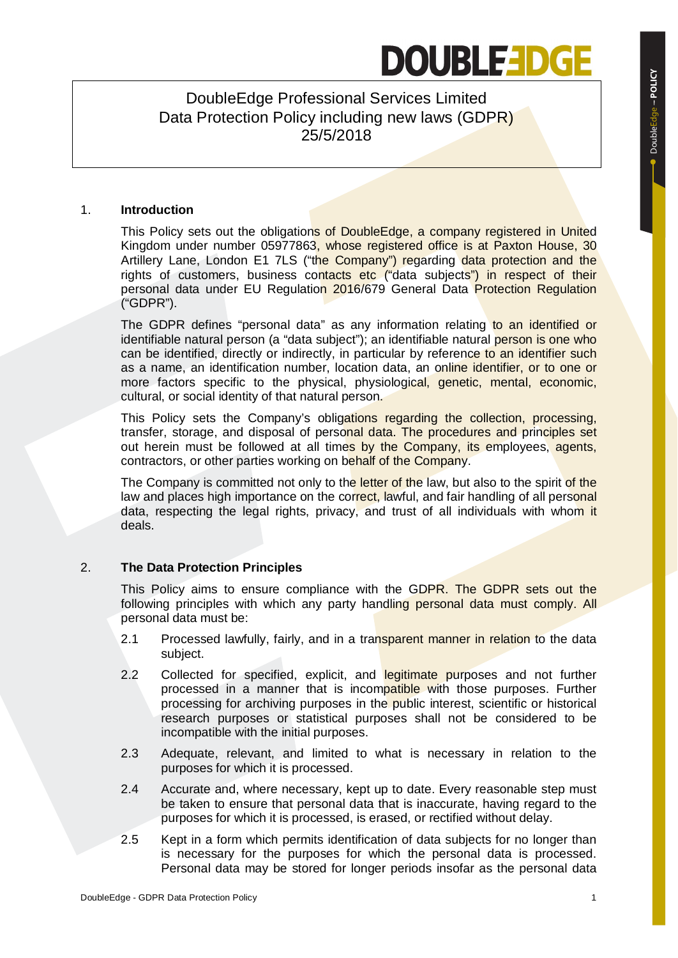# **DOUBLEEDGE**

DoubleEdge Professional Services Limited Data Protection Policy including new laws (GDPR) 25/5/2018

#### 1. **Introduction**

This Policy sets out the obligations of DoubleEdge, a company registered in United Kingdom under number 05977863, whose registered office is at Paxton House, 30 Artillery Lane, London E1 7LS ("the Company") regarding data protection and the rights of customers, business contacts etc ("data subjects") in respect of their personal data under EU Regulation 2016/679 General Data Protection Regulation ("GDPR").

The GDPR defines "personal data" as any information relating to an identified or identifiable natural person (a "data subject"); an identifiable natural person is one who can be identified, directly or indirectly, in particular by reference to an identifier such as a name, an identification number, location data, an online identifier, or to one or more factors specific to the physical, physiological, genetic, mental, economic, cultural, or social identity of that natural person.

This Policy sets the Company's obligations regarding the collection, processing, transfer, storage, and disposal of personal data. The procedures and principles set out herein must be followed at all times by the Company, its employees, agents, contractors, or other parties working on behalf of the Company.

The Company is committed not only to the letter of the law, but also to the spirit of the law and places high importance on the correct, lawful, and fair handling of all personal data, respecting the legal rights, privacy, and trust of all individuals with whom it deals.

### 2. **The Data Protection Principles**

This Policy aims to ensure compliance with the GDPR. The GDPR sets out the following principles with which any party handling personal data must comply. All personal data must be:

- 2.1 Processed lawfully, fairly, and in a transparent manner in relation to the data subject.
- 2.2 Collected for specified, explicit, and legitimate purposes and not further processed in a manner that is incompatible with those purposes. Further processing for archiving purposes in the public interest, scientific or historical research purposes or statistical purposes shall not be considered to be incompatible with the initial purposes.
- 2.3 Adequate, relevant, and limited to what is necessary in relation to the purposes for which it is processed.
- 2.4 Accurate and, where necessary, kept up to date. Every reasonable step must be taken to ensure that personal data that is inaccurate, having regard to the purposes for which it is processed, is erased, or rectified without delay.
- 2.5 Kept in a form which permits identification of data subjects for no longer than is necessary for the purposes for which the personal data is processed. Personal data may be stored for longer periods insofar as the personal data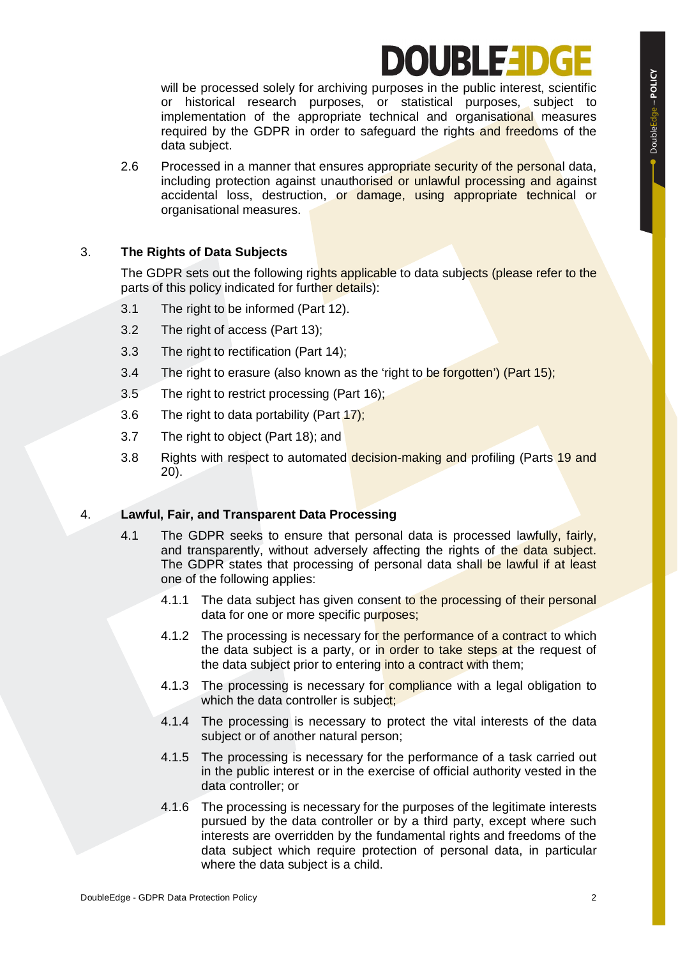# OURLED

will be processed solely for archiving purposes in the public interest, scientific or historical research purposes, or statistical purposes, subject to implementation of the appropriate technical and organisational measures required by the GDPR in order to safeguard the rights and freedoms of the data subject.

2.6 Processed in a manner that ensures appropriate security of the personal data, including protection against unauthorised or unlawful processing and against accidental loss, destruction, or damage, using appropriate technical or organisational measures.

### 3. **The Rights of Data Subjects**

The GDPR sets out the following rights applicable to data subjects (please refer to the parts of this policy indicated for further details):

- 3.1 The right to be informed (Part 12).
- 3.2 The right of access (Part 13);
- 3.3 The right to rectification (Part 14);
- 3.4 The right to erasure (also known as the 'right to be forgotten') (Part 15);
- 3.5 The right to restrict processing (Part 16);
- 3.6 The right to data portability (Part 17);
- 3.7 The right to object (Part 18); and
- 3.8 Rights with respect to automated decision-making and profiling (Parts 19 and 20).

### 4. **Lawful, Fair, and Transparent Data Processing**

- 4.1 The GDPR seeks to ensure that personal data is processed lawfully, fairly, and transparently, without adversely affecting the rights of the data subject. The GDPR states that processing of personal data shall be lawful if at least one of the following applies:
	- 4.1.1 The data subject has given consent to the processing of their personal data for one or more specific purposes;
	- 4.1.2 The processing is necessary for the performance of a contract to which the data subject is a party, or in order to take steps at the request of the data subject prior to entering into a contract with them;
	- 4.1.3 The processing is necessary for compliance with a legal obligation to which the data controller is subject;
	- 4.1.4 The processing is necessary to protect the vital interests of the data subject or of another natural person;
	- 4.1.5 The processing is necessary for the performance of a task carried out in the public interest or in the exercise of official authority vested in the data controller; or
	- 4.1.6 The processing is necessary for the purposes of the legitimate interests pursued by the data controller or by a third party, except where such interests are overridden by the fundamental rights and freedoms of the data subject which require protection of personal data, in particular where the data subject is a child.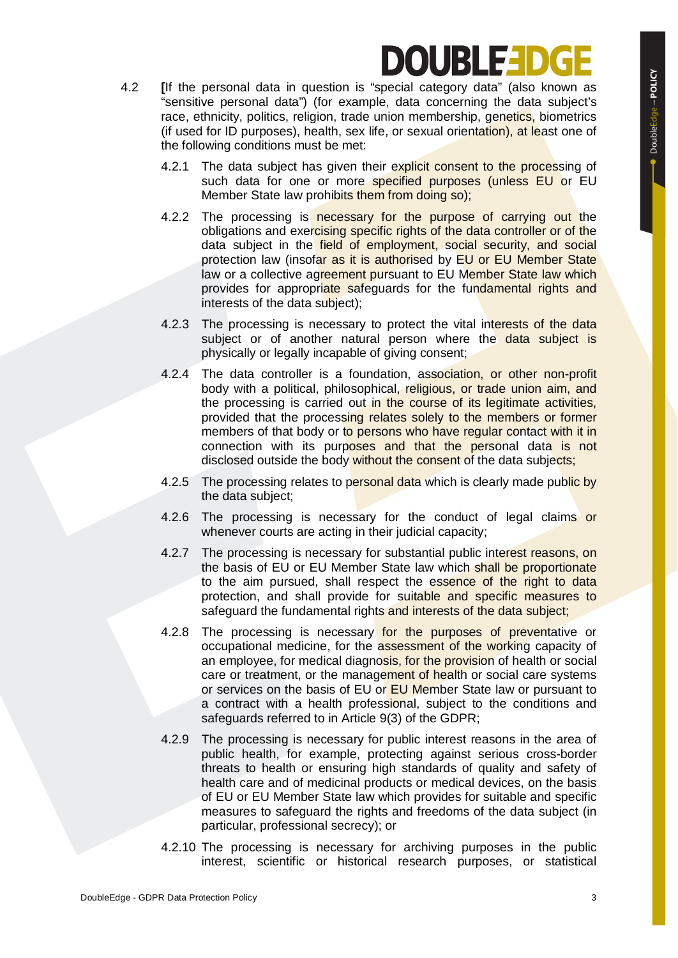# OURLED

- 4.2 **[**If the personal data in question is "special category data" (also known as "sensitive personal data") (for example, data concerning the data subject's race, ethnicity, politics, religion, trade union membership, genetics, biometrics (if used for ID purposes), health, sex life, or sexual orientation), at least one of the following conditions must be met:
	- 4.2.1 The data subject has given their explicit consent to the processing of such data for one or more specified purposes (unless EU or EU Member State law prohibits them from doing so);
	- 4.2.2 The processing is necessary for the purpose of carrying out the obligations and exercising specific rights of the data controller or of the data subject in the field of employment, social security, and social protection law (insofar as it is authorised by EU or EU Member State law or a collective agreement pursuant to EU Member State law which provides for appropriate safeguards for the fundamental rights and interests of the data subject);
	- 4.2.3 The processing is necessary to protect the vital interests of the data subject or of another natural person where the data subject is physically or legally incapable of giving consent;
	- 4.2.4 The data controller is a foundation, association, or other non-profit body with a political, philosophical, religious, or trade union aim, and the processing is carried out in the course of its legitimate activities, provided that the processing relates solely to the members or former members of that body or to persons who have regular contact with it in connection with its purposes and that the personal data is not disclosed outside the body without the consent of the data subjects;
	- 4.2.5 The processing relates to personal data which is clearly made public by the data subject;
	- 4.2.6 The processing is necessary for the conduct of legal claims or whenever courts are acting in their judicial capacity;
	- 4.2.7 The processing is necessary for substantial public interest reasons, on the basis of EU or EU Member State law which shall be proportionate to the aim pursued, shall respect the essence of the right to data protection, and shall provide for suitable and specific measures to safeguard the fundamental rights and interests of the data subject;
	- 4.2.8 The processing is necessary for the purposes of preventative or occupational medicine, for the assessment of the working capacity of an employee, for medical diagnosis, for the provision of health or social care or treatment, or the management of health or social care systems or services on the basis of EU or EU Member State law or pursuant to a contract with a health professional, subject to the conditions and safeguards referred to in Article 9(3) of the GDPR;
	- 4.2.9 The processing is necessary for public interest reasons in the area of public health, for example, protecting against serious cross-border threats to health or ensuring high standards of quality and safety of health care and of medicinal products or medical devices, on the basis of EU or EU Member State law which provides for suitable and specific measures to safeguard the rights and freedoms of the data subject (in particular, professional secrecy); or
	- 4.2.10 The processing is necessary for archiving purposes in the public interest, scientific or historical research purposes, or statistical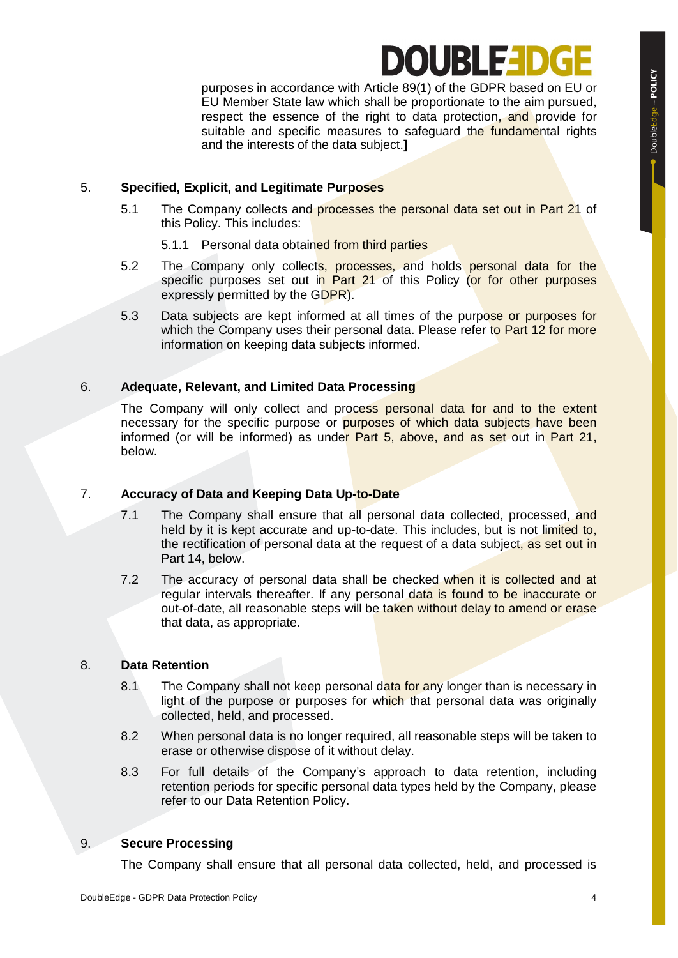# OURLEL

purposes in accordance with Article 89(1) of the GDPR based on EU or EU Member State law which shall be proportionate to the aim pursued, respect the essence of the right to data protection, and provide for suitable and specific measures to safeguard the fundamental rights and the interests of the data subject.**]**

#### 5. **Specified, Explicit, and Legitimate Purposes**

- 5.1 The Company collects and processes the personal data set out in Part 21 of this Policy. This includes:
	- 5.1.1 Personal data obtained from third parties
- 5.2 The Company only collects, processes, and holds personal data for the specific purposes set out in Part 21 of this Policy (or for other purposes expressly permitted by the GDPR).
- 5.3 Data subjects are kept informed at all times of the purpose or purposes for which the Company uses their personal data. Please refer to Part 12 for more information on keeping data subjects informed.

#### 6. **Adequate, Relevant, and Limited Data Processing**

The Company will only collect and process personal data for and to the extent necessary for the specific purpose or purposes of which data subjects have been informed (or will be informed) as under Part 5, above, and as set out in Part 21, below.

#### 7. **Accuracy of Data and Keeping Data Up-to-Date**

- 7.1 The Company shall ensure that all personal data collected, processed, and held by it is kept accurate and up-to-date. This includes, but is not limited to, the rectification of personal data at the request of a data subject, as set out in Part 14, below.
- 7.2 The accuracy of personal data shall be checked when it is collected and at regular intervals thereafter. If any personal data is found to be inaccurate or out-of-date, all reasonable steps will be taken without delay to amend or erase that data, as appropriate.

#### 8. **Data Retention**

- 8.1 The Company shall not keep personal data for any longer than is necessary in light of the purpose or purposes for which that personal data was originally collected, held, and processed.
- 8.2 When personal data is no longer required, all reasonable steps will be taken to erase or otherwise dispose of it without delay.
- 8.3 For full details of the Company's approach to data retention, including retention periods for specific personal data types held by the Company, please refer to our Data Retention Policy.

#### 9. **Secure Processing**

The Company shall ensure that all personal data collected, held, and processed is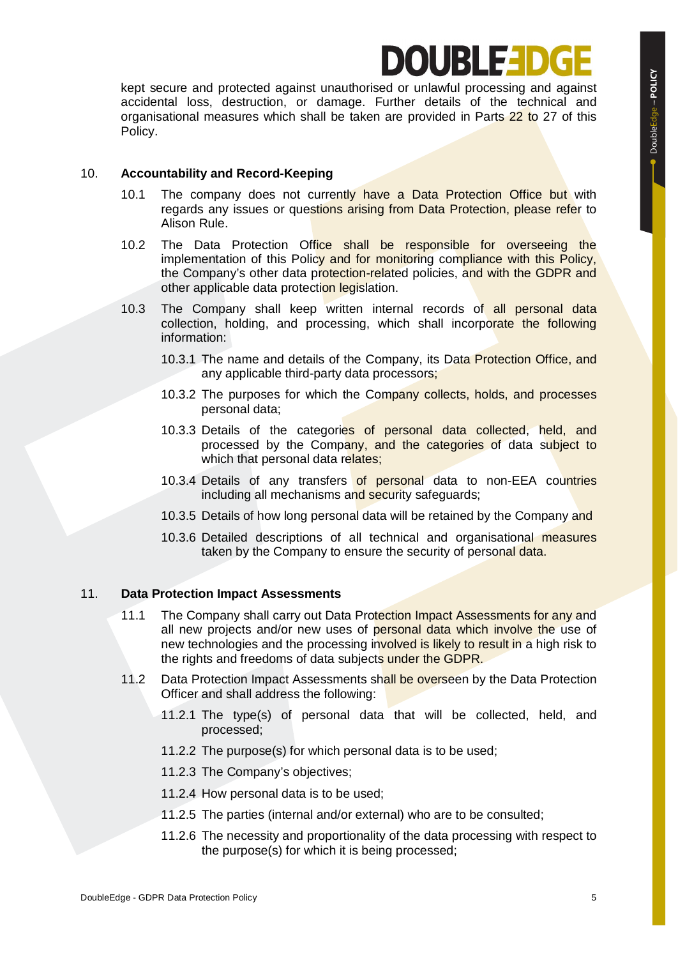# OURLED

kept secure and protected against unauthorised or unlawful processing and against accidental loss, destruction, or damage. Further details of the technical and organisational measures which shall be taken are provided in Parts 22 to 27 of this Policy.

#### 10. **Accountability and Record-Keeping**

- 10.1 The company does not currently have a Data Protection Office but with regards any issues or questions arising from Data Protection, please refer to Alison Rule.
- 10.2 The Data Protection Office shall be responsible for overseeing the implementation of this Policy and for monitoring compliance with this Policy, the Company's other data protection-related policies, and with the GDPR and other applicable data protection legislation.
- 10.3 The Company shall keep written internal records of all personal data collection, holding, and processing, which shall incorporate the following information:
	- 10.3.1 The name and details of the Company, its Data Protection Office, and any applicable third-party data processors;
	- 10.3.2 The purposes for which the Company collects, holds, and processes personal data;
	- 10.3.3 Details of the categories of personal data collected, held, and processed by the Company, and the categories of data subject to which that personal data relates;
	- 10.3.4 Details of any transfers of personal data to non-EEA countries including all mechanisms and security safeguards;
	- 10.3.5 Details of how long personal data will be retained by the Company and
	- 10.3.6 Detailed descriptions of all technical and organisational measures taken by the Company to ensure the security of personal data.

#### 11. **Data Protection Impact Assessments**

- 11.1 The Company shall carry out Data Protection Impact Assessments for any and all new projects and/or new uses of personal data which involve the use of new technologies and the processing involved is likely to result in a high risk to the rights and freedoms of data subjects under the GDPR.
- 11.2 Data Protection Impact Assessments shall be overseen by the Data Protection Officer and shall address the following:
	- 11.2.1 The type(s) of personal data that will be collected, held, and processed;
	- 11.2.2 The purpose(s) for which personal data is to be used;
	- 11.2.3 The Company's objectives;
	- 11.2.4 How personal data is to be used;
	- 11.2.5 The parties (internal and/or external) who are to be consulted;
	- 11.2.6 The necessity and proportionality of the data processing with respect to the purpose(s) for which it is being processed;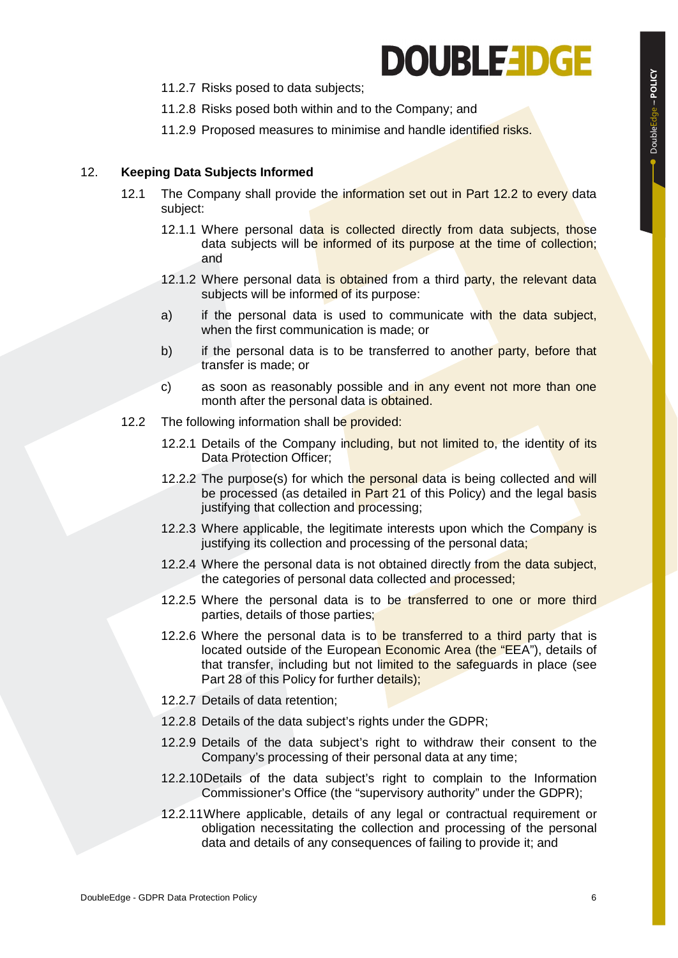# **DOUBLEEDGE**

- 11.2.7 Risks posed to data subjects;
- 11.2.8 Risks posed both within and to the Company; and
- 11.2.9 Proposed measures to minimise and handle identified risks.

#### 12. **Keeping Data Subjects Informed**

- 12.1 The Company shall provide the information set out in Part 12.2 to every data subject:
	- 12.1.1 Where personal data is collected directly from data subjects, those data subjects will be informed of its purpose at the time of collection; and
	- 12.1.2 Where personal data is obtained from a third party, the relevant data subjects will be informed of its purpose:
	- a) if the personal data is used to communicate with the data subject, when the first communication is made; or
	- b) if the personal data is to be transferred to another party, before that transfer is made; or
	- c) as soon as reasonably possible and in any event not more than one month after the personal data is obtained.
- 12.2 The following information shall be provided:
	- 12.2.1 Details of the Company including, but not limited to, the identity of its Data Protection Officer;
	- 12.2.2 The purpose(s) for which the personal data is being collected and will be processed (as detailed in Part 21 of this Policy) and the legal basis justifying that collection and processing;
	- 12.2.3 Where applicable, the legitimate interests upon which the Company is justifying its collection and processing of the personal data;
	- 12.2.4 Where the personal data is not obtained directly from the data subject, the categories of personal data collected and processed;
	- 12.2.5 Where the personal data is to be transferred to one or more third parties, details of those parties;
	- 12.2.6 Where the personal data is to be transferred to a third party that is located outside of the European Economic Area (the "EEA"), details of that transfer, including but not limited to the safeguards in place (see Part 28 of this Policy for further details);
	- 12.2.7 Details of data retention;
	- 12.2.8 Details of the data subject's rights under the GDPR;
	- 12.2.9 Details of the data subject's right to withdraw their consent to the Company's processing of their personal data at any time;
	- 12.2.10Details of the data subject's right to complain to the Information Commissioner's Office (the "supervisory authority" under the GDPR);
	- 12.2.11Where applicable, details of any legal or contractual requirement or obligation necessitating the collection and processing of the personal data and details of any consequences of failing to provide it; and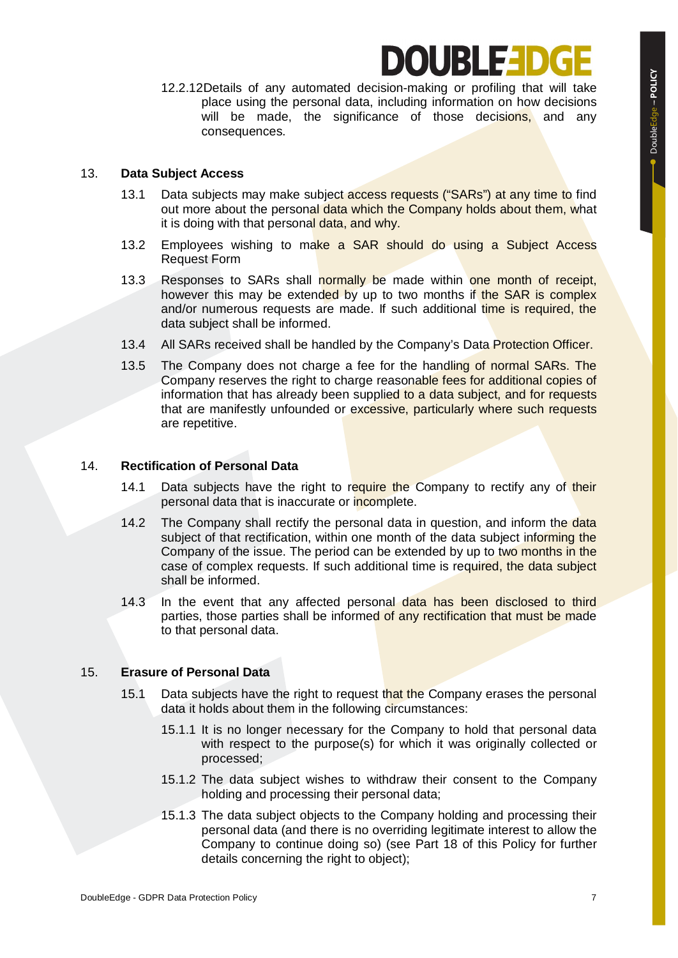## IUBILE I

12.2.12Details of any automated decision-making or profiling that will take place using the personal data, including information on how decisions will be made, the significance of those decisions, and any consequences.

#### 13. **Data Subject Access**

- 13.1 Data subjects may make subject access requests ("SARs") at any time to find out more about the personal data which the Company holds about them, what it is doing with that personal data, and why.
- 13.2 Employees wishing to make a SAR should do using a Subject Access Request Form
- 13.3 Responses to SARs shall normally be made within one month of receipt, however this may be extended by up to two months if the SAR is complex and/or numerous requests are made. If such additional time is required, the data subject shall be informed.
- 13.4 All SARs received shall be handled by the Company's Data Protection Officer.
- 13.5 The Company does not charge a fee for the handling of normal SARs. The Company reserves the right to charge reasonable fees for additional copies of information that has already been supplied to a data subject, and for requests that are manifestly unfounded or excessive, particularly where such requests are repetitive.

#### 14. **Rectification of Personal Data**

- 14.1 Data subjects have the right to require the Company to rectify any of their personal data that is inaccurate or incomplete.
- 14.2 The Company shall rectify the personal data in question, and inform the data subject of that rectification, within one month of the data subject informing the Company of the issue. The period can be extended by up to two months in the case of complex requests. If such additional time is required, the data subject shall be informed.
- 14.3 In the event that any affected personal data has been disclosed to third parties, those parties shall be informed of any rectification that must be made to that personal data.

#### 15. **Erasure of Personal Data**

- 15.1 Data subjects have the right to request that the Company erases the personal data it holds about them in the following circumstances:
	- 15.1.1 It is no longer necessary for the Company to hold that personal data with respect to the purpose(s) for which it was originally collected or processed;
	- 15.1.2 The data subject wishes to withdraw their consent to the Company holding and processing their personal data;
	- 15.1.3 The data subject objects to the Company holding and processing their personal data (and there is no overriding legitimate interest to allow the Company to continue doing so) (see Part 18 of this Policy for further details concerning the right to object);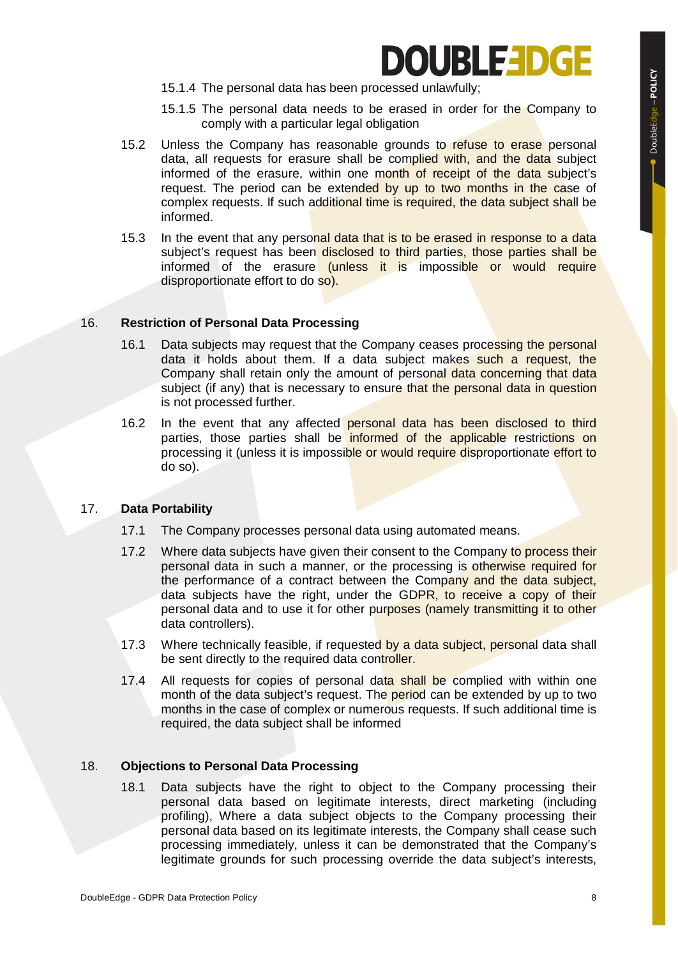## **OUBLEEDGE**

- 15.1.4 The personal data has been processed unlawfully;
- 15.1.5 The personal data needs to be erased in order for the Company to comply with a particular legal obligation
- 15.2 Unless the Company has reasonable grounds to refuse to erase personal data, all requests for erasure shall be complied with, and the data subject informed of the erasure, within one month of receipt of the data subject's request. The period can be extended by up to two months in the case of complex requests. If such additional time is required, the data subject shall be informed.
- 15.3 In the event that any personal data that is to be erased in response to a data subject's request has been disclosed to third parties, those parties shall be informed of the erasure (unless it is impossible or would require disproportionate effort to do so).

#### 16. **Restriction of Personal Data Processing**

- 16.1 Data subjects may request that the Company ceases processing the personal data it holds about them. If a data subject makes such a request, the Company shall retain only the amount of personal data concerning that data subject (if any) that is necessary to ensure that the personal data in question is not processed further.
- 16.2 In the event that any affected personal data has been disclosed to third parties, those parties shall be informed of the applicable restrictions on processing it (unless it is impossible or would require disproportionate effort to do so).

#### 17. **Data Portability**

- 17.1 The Company processes personal data using automated means.
- 17.2 Where data subjects have given their consent to the Company to process their personal data in such a manner, or the processing is otherwise required for the performance of a contract between the Company and the data subject, data subjects have the right, under the GDPR, to receive a copy of their personal data and to use it for other purposes (namely transmitting it to other data controllers).
- 17.3 Where technically feasible, if requested by a data subject, personal data shall be sent directly to the required data controller.
- 17.4 All requests for copies of personal data shall be complied with within one month of the data subject's request. The **period** can be extended by up to two months in the case of complex or numerous requests. If such additional time is required, the data subject shall be informed

#### 18. **Objections to Personal Data Processing**

18.1 Data subjects have the right to object to the Company processing their personal data based on legitimate interests, direct marketing (including profiling), Where a data subject objects to the Company processing their personal data based on its legitimate interests, the Company shall cease such processing immediately, unless it can be demonstrated that the Company's legitimate grounds for such processing override the data subject's interests,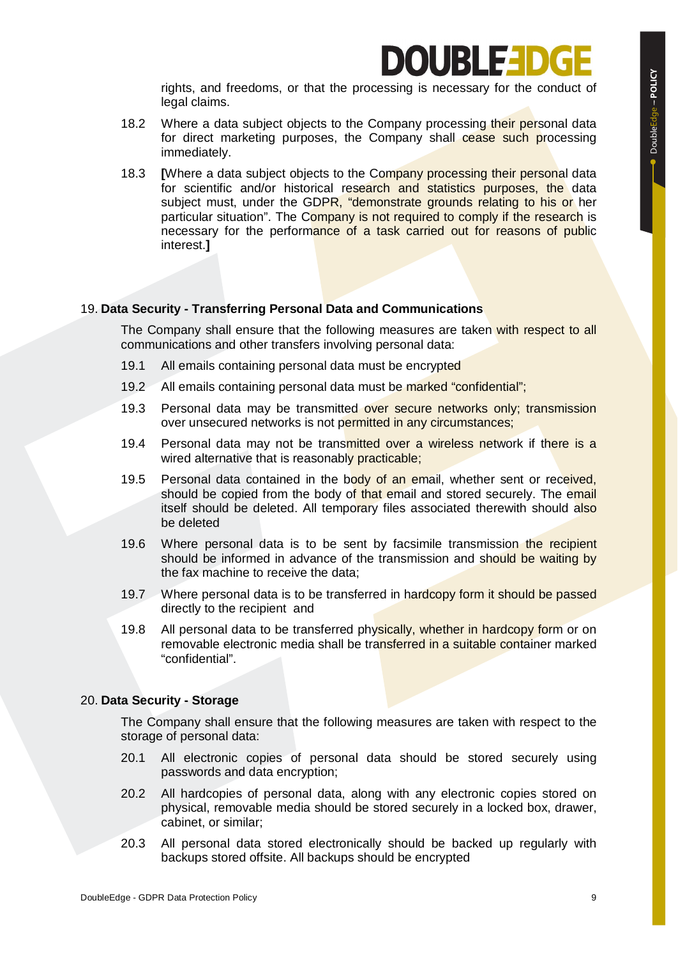# **IURLED**

rights, and freedoms, or that the processing is necessary for the conduct of legal claims.

- 18.2 Where a data subject objects to the Company processing their personal data for direct marketing purposes, the Company shall cease such processing immediately.
- 18.3 **[**Where a data subject objects to the Company processing their personal data for scientific and/or historical research and statistics purposes, the data subject must, under the GDPR, "demonstrate grounds relating to his or her particular situation". The Company is not required to comply if the research is necessary for the performance of a task carried out for reasons of public interest.**]**

#### 19. **Data Security - Transferring Personal Data and Communications**

The Company shall ensure that the following measures are taken with respect to all communications and other transfers involving personal data:

- 19.1 All emails containing personal data must be encrypted
- 19.2 All emails containing personal data must be marked "confidential";
- 19.3 Personal data may be transmitted over secure networks only; transmission over unsecured networks is not permitted in any circumstances;
- 19.4 Personal data may not be transmitted over a wireless network if there is a wired alternative that is reasonably practicable;
- 19.5 Personal data contained in the body of an email, whether sent or received, should be copied from the body of that email and stored securely. The email itself should be deleted. All temporary files associated therewith should also be deleted
- 19.6 Where personal data is to be sent by facsimile transmission the recipient should be informed in advance of the transmission and should be waiting by the fax machine to receive the data;
- 19.7 Where personal data is to be transferred in hardcopy form it should be passed directly to the recipient and
- 19.8 All personal data to be transferred physically, whether in hardcopy form or on removable electronic media shall be transferred in a suitable container marked "confidential".

#### 20. **Data Security - Storage**

The Company shall ensure that the following measures are taken with respect to the storage of personal data:

- 20.1 All electronic copies of personal data should be stored securely using passwords and data encryption;
- 20.2 All hardcopies of personal data, along with any electronic copies stored on physical, removable media should be stored securely in a locked box, drawer, cabinet, or similar;
- 20.3 All personal data stored electronically should be backed up regularly with backups stored offsite. All backups should be encrypted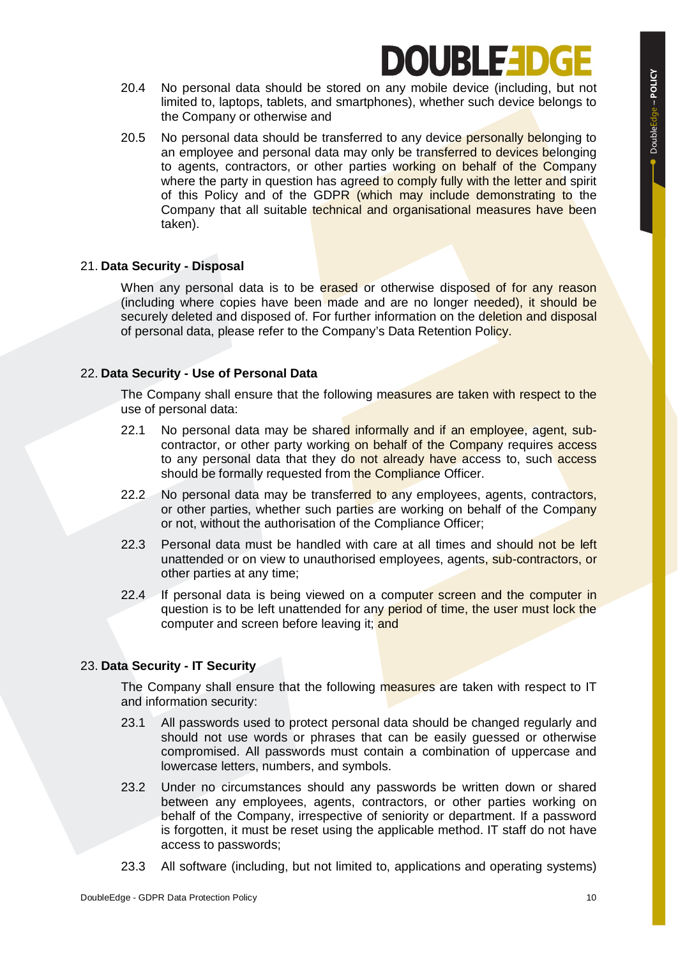# **IUBLE-I**

- 20.4 No personal data should be stored on any mobile device (including, but not limited to, laptops, tablets, and smartphones), whether such device belongs to the Company or otherwise and
- 20.5 No personal data should be transferred to any device personally belonging to an employee and personal data may only be transferred to devices belonging to agents, contractors, or other parties working on behalf of the Company where the party in question has agreed to comply fully with the letter and spirit of this Policy and of the GDPR (which may include demonstrating to the Company that all suitable technical and organisational measures have been taken).

#### 21. **Data Security - Disposal**

When any personal data is to be erased or otherwise disposed of for any reason (including where copies have been made and are no longer needed), it should be securely deleted and disposed of. For further information on the deletion and disposal of personal data, please refer to the Company's Data Retention Policy.

#### 22. **Data Security - Use of Personal Data**

The Company shall ensure that the following measures are taken with respect to the use of personal data:

- 22.1 No personal data may be shared informally and if an employee, agent, subcontractor, or other party working on behalf of the Company requires access to any personal data that they do not already have access to, such access should be formally requested from the Compliance Officer.
- 22.2 No personal data may be transferred to any employees, agents, contractors, or other parties, whether such parties are working on behalf of the Company or not, without the authorisation of the Compliance Officer;
- 22.3 Personal data must be handled with care at all times and should not be left unattended or on view to unauthorised employees, agents, sub-contractors, or other parties at any time;
- 22.4 If personal data is being viewed on a computer screen and the computer in question is to be left unattended for any period of time, the user must lock the computer and screen before leaving it; and

### 23. **Data Security - IT Security**

The Company shall ensure that the following measures are taken with respect to IT and information security:

- 23.1 All passwords used to protect personal data should be changed regularly and should not use words or phrases that can be easily guessed or otherwise compromised. All passwords must contain a combination of uppercase and lowercase letters, numbers, and symbols.
- 23.2 Under no circumstances should any passwords be written down or shared between any employees, agents, contractors, or other parties working on behalf of the Company, irrespective of seniority or department. If a password is forgotten, it must be reset using the applicable method. IT staff do not have access to passwords;
- 23.3 All software (including, but not limited to, applications and operating systems)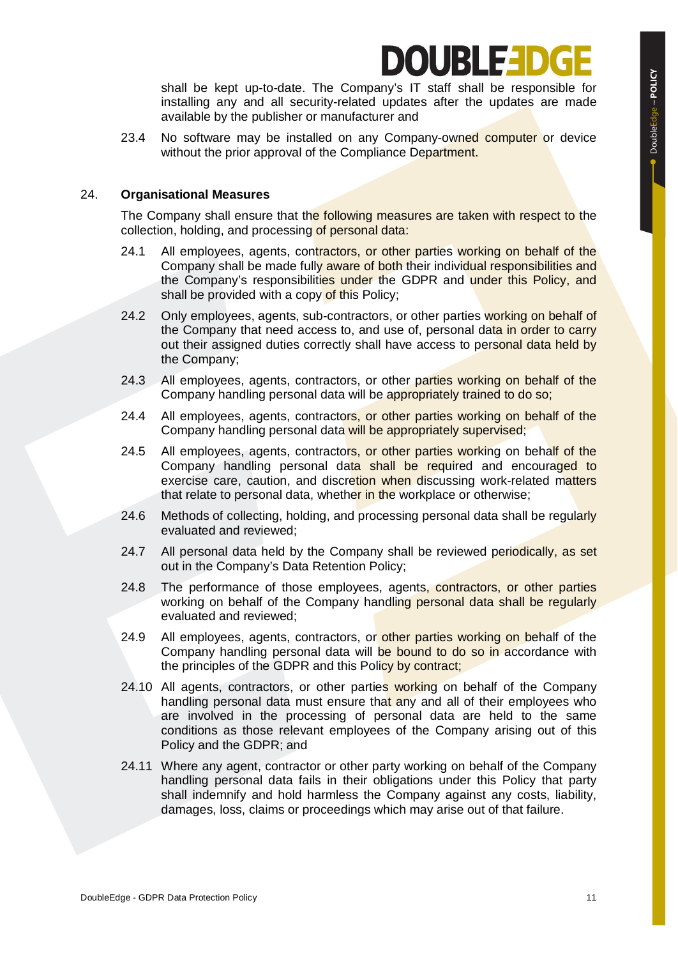### **IUBLE:**

shall be kept up-to-date. The Company's IT staff shall be responsible for installing any and all security-related updates after the updates are made available by the publisher or manufacturer and

23.4 No software may be installed on any Company-owned computer or device without the prior approval of the Compliance Department.

#### 24. **Organisational Measures**

The Company shall ensure that the following measures are taken with respect to the collection, holding, and processing of personal data:

- 24.1 All employees, agents, contractors, or other parties working on behalf of the Company shall be made fully aware of both their individual responsibilities and the Company's responsibilities under the GDPR and under this Policy, and shall be provided with a copy of this Policy;
- 24.2 Only employees, agents, sub-contractors, or other parties working on behalf of the Company that need access to, and use of, personal data in order to carry out their assigned duties correctly shall have access to personal data held by the Company;
- 24.3 All employees, agents, contractors, or other parties working on behalf of the Company handling personal data will be appropriately trained to do so;
- 24.4 All employees, agents, contractors, or other parties working on behalf of the Company handling personal data will be appropriately supervised;
- 24.5 All employees, agents, contractors, or other parties working on behalf of the Company handling personal data shall be required and encouraged to exercise care, caution, and discretion when discussing work-related matters that relate to personal data, whether in the workplace or otherwise:
- 24.6 Methods of collecting, holding, and processing personal data shall be regularly evaluated and reviewed;
- 24.7 All personal data held by the Company shall be reviewed periodically, as set out in the Company's Data Retention Policy;
- 24.8 The performance of those employees, agents, contractors, or other parties working on behalf of the Company handling personal data shall be regularly evaluated and reviewed;
- 24.9 All employees, agents, contractors, or other parties working on behalf of the Company handling personal data will be bound to do so in accordance with the principles of the GDPR and this Policy by contract;
- 24.10 All agents, contractors, or other parties working on behalf of the Company handling personal data must ensure that any and all of their employees who are involved in the processing of personal data are held to the same conditions as those relevant employees of the Company arising out of this Policy and the GDPR; and
- 24.11 Where any agent, contractor or other party working on behalf of the Company handling personal data fails in their obligations under this Policy that party shall indemnify and hold harmless the Company against any costs, liability, damages, loss, claims or proceedings which may arise out of that failure.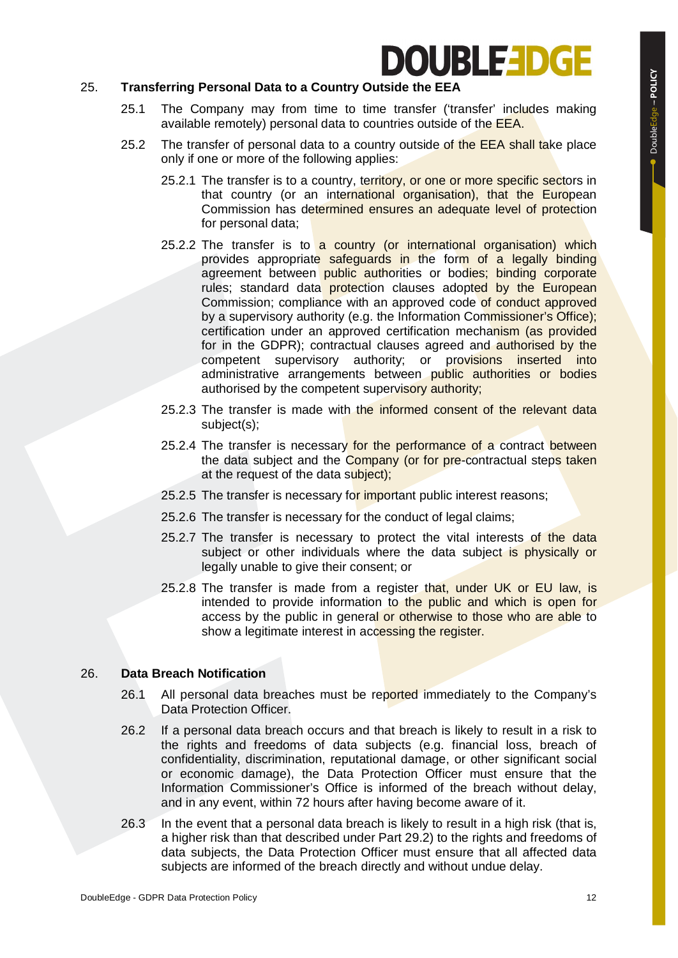## **DOUBLE-IDGE**

#### 25. **Transferring Personal Data to a Country Outside the EEA**

- 25.1 The Company may from time to time transfer ('transfer' includes making available remotely) personal data to countries outside of the EEA.
- 25.2 The transfer of personal data to a country outside of the EEA shall take place only if one or more of the following applies:
	- 25.2.1 The transfer is to a country, territory, or one or more specific sectors in that country (or an international organisation), that the European Commission has determined ensures an adequate level of protection for personal data;
	- 25.2.2 The transfer is to a country (or international organisation) which provides appropriate safeguards in the form of a legally binding agreement between public authorities or bodies; binding corporate rules; standard data protection clauses adopted by the European Commission; compliance with an approved code of conduct approved by a supervisory authority (e.g. the Information Commissioner's Office); certification under an approved certification mechanism (as provided for in the GDPR); contractual clauses agreed and authorised by the competent supervisory authority; or provisions inserted into administrative arrangements between public authorities or bodies authorised by the competent supervisory authority;
	- 25.2.3 The transfer is made with the informed consent of the relevant data subject(s);
	- 25.2.4 The transfer is necessary for the performance of a contract between the data subject and the Company (or for pre-contractual steps taken at the request of the data subject);
	- 25.2.5 The transfer is necessary for important public interest reasons;
	- 25.2.6 The transfer is necessary for the conduct of legal claims;
	- 25.2.7 The transfer is necessary to protect the vital interests of the data subject or other individuals where the data subject is physically or legally unable to give their consent; or
	- 25.2.8 The transfer is made from a register that, under UK or EU law, is intended to provide information to the public and which is open for access by the public in general or otherwise to those who are able to show a legitimate interest in accessing the register.

#### 26. **Data Breach Notification**

- 26.1 All personal data breaches must be reported immediately to the Company's Data Protection Officer.
- 26.2 If a personal data breach occurs and that breach is likely to result in a risk to the rights and freedoms of data subjects (e.g. financial loss, breach of confidentiality, discrimination, reputational damage, or other significant social or economic damage), the Data Protection Officer must ensure that the Information Commissioner's Office is informed of the breach without delay, and in any event, within 72 hours after having become aware of it.
- 26.3 In the event that a personal data breach is likely to result in a high risk (that is, a higher risk than that described under Part 29.2) to the rights and freedoms of data subjects, the Data Protection Officer must ensure that all affected data subjects are informed of the breach directly and without undue delay.